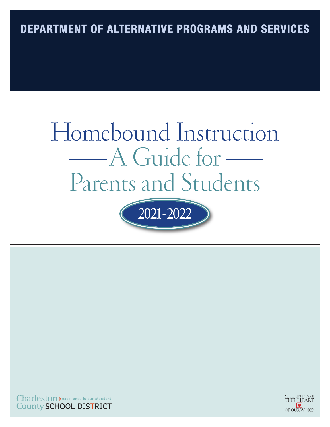### **DEPARTMENT OF ALTERNATIVE PROGRAMS AND SERVICES**

# Homebound Instruction — A Guide for — Parents and Students





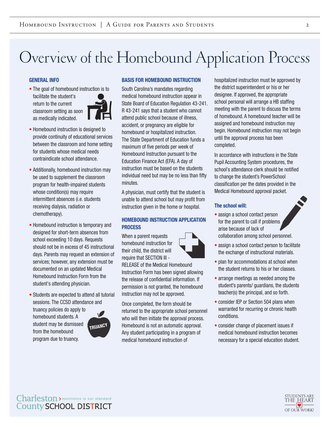## Overview of the Homebound Application Process

#### **GENERAL INFO**

• The goal of homebound instruction is to facilitate the student's return to the current classroom setting as soon as medically indicated.



- Homebound instruction is designed to provide continuity of educational services between the classroom and home setting for students whose medical needs contraindicate school attendance.
- Additionally, homebound instruction may be used to supplement the classroom program for health-impaired students whose condition(s) may require intermittent absences (i.e. students receiving dialysis, radiation or chemotherapy).
- Homebound instruction is temporary and designed for short-term absences from school exceeding 10 days. Requests should not be in excess of 45 instructional days. Parents may request an extension of services; however, any extension must be documented on an updated Medical Homebound Instruction Form from the student's attending physician.
- Students are expected to attend all tutorial sessions. The CCSD attendance and truancy policies do apply to homebound students. A student may be dismissed from the homebound program due to truancy. **TRUANCY**

#### **BASIS FOR HOMEBOUND INSTRUCTION**

South Carolina's mandates regarding medical homebound instruction appear in State Board of Education Regulation 43-241. R 43-241 says that a student who cannot attend public school because of illness, accident, or pregnancy are eligible for homebound or hospitalized instruction. The State Department of Education funds a maximum of five periods per week of Homebound Instruction pursuant to the Education Finance Act (EFA). A day of instruction must be based on the students individual need but may be no less than fifty minutes.

A physician, must certify that the student is unable to attend school but may profit from instruction given in the home or hospital.

#### **HOMEBOUND INSTRUCTION APPLICATION PROCESS**

When a parent requests homebound instruction for their child, the district will require that SECTION III -

RELEASE of the Medical Homebound Instruction Form has been signed allowing the release of confidential information. If permission is not granted, the homebound instruction may not be approved.

Once completed, the form should be returned to the appropriate school personnel who will then initiate the approval process. Homebound is not an automatic approval. Any student participating in a program of medical homebound instruction of

hospitalized instruction must be approved by the district superintendent or his or her designee. If approved, the appropriate school personal will arrange a HB staffing meeting with the parent to discuss the terms of homebound. A homebound teacher will be assigned and homebound instruction may begin. Homebound instruction may not begin until the approval process has been completed.

In accordance with instructions in the State Pupil Accounting System procedures, the school's attendance clerk should be notified to change the student's PowerSchool classification per the dates provided in the Medical Homebound approval packet.

#### **The school will:**

- assign a school contact person for the parent to call if problems arise because of lack of collaboration among school personnel.
- assign a school contact person to facilitate the exchange of instructional materials.
- plan for accommodations at school when the student returns to his or her classes.
- arrange meetings as needed among the student's parents/ guardians, the students teacher(s) the principal, and so forth.
- consider IEP or Section 504 plans when warranted for recurring or chronic health conditions.
- consider change of placement issues if medical homebound instruction becomes necessary for a special education student.



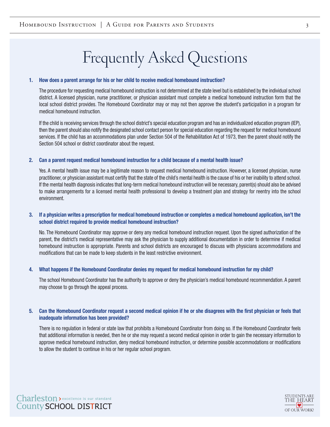### Frequently Asked Questions

#### **1. How does a parent arrange for his or her child to receive medical homebound instruction?**

 The procedure for requesting medical homebound instruction is not determined at the state level but is established by the individual school district. A licensed physician, nurse practitioner, or physician assistant must complete a medical homebound instruction form that the local school district provides. The Homebound Coordinator may or may not then approve the student's participation in a program for medical homebound instruction.

 If the child is receiving services through the school district's special education program and has an individualized education program (IEP), then the parent should also notify the designated school contact person for special education regarding the request for medical homebound services. If the child has an accommodations plan under Section 504 of the Rehabilitation Act of 1973, then the parent should notify the Section 504 school or district coordinator about the request.

#### **2. Can a parent request medical homebound instruction for a child because of a mental health issue?**

 Yes. A mental health issue may be a legitimate reason to request medical homebound instruction. However, a licensed physician, nurse practitioner, or physician assistant must certify that the state of the child's mental health is the cause of his or her inability to attend school. If the mental health diagnosis indicates that long-term medical homebound instruction will be necessary, parent(s) should also be advised to make arrangements for a licensed mental health professional to develop a treatment plan and strategy for reentry into the school environment.

#### **3. If a physician writes a prescription for medical homebound instruction or completes a medical homebound application, isn't the school district required to provide medical homebound instruction?**

 No. The Homebound Coordinator may approve or deny any medical homebound instruction request. Upon the signed authorization of the parent, the district's medical representative may ask the physician to supply additional documentation in order to determine if medical homebound instruction is appropriate. Parents and school districts are encouraged to discuss with physicians accommodations and modifications that can be made to keep students in the least restrictive environment.

#### **4. What happens if the Homebound Coordinator denies my request for medical homebound instruction for my child?**

 The school Homebound Coordinator has the authority to approve or deny the physician's medical homebound recommendation. A parent may choose to go through the appeal process.

#### **5. Can the Homebound Coordinator request a second medical opinion if he or she disagrees with the first physician or feels that inadequate information has been provided?**

 There is no regulation in federal or state law that prohibits a Homebound Coordinator from doing so. If the Homebound Coordinator feels that additional information is needed, then he or she may request a second medical opinion in order to gain the necessary information to approve medical homebound instruction, deny medical homebound instruction, or determine possible accommodations or modifications to allow the student to continue in his or her regular school program.